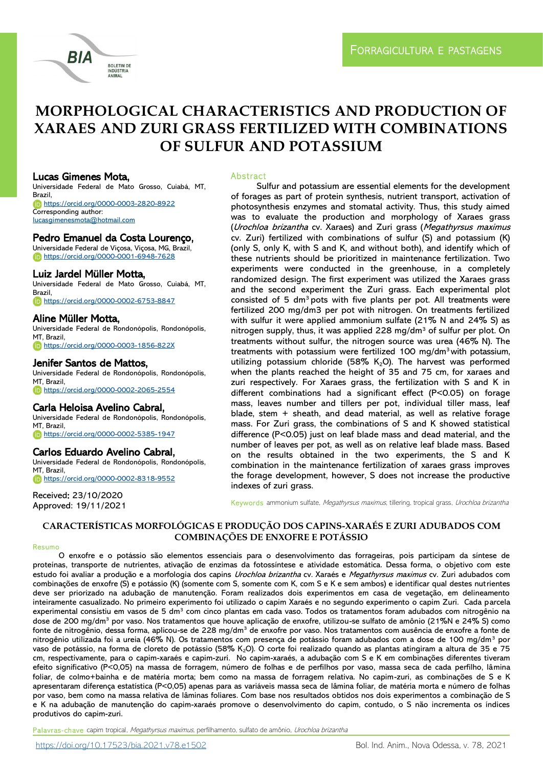

# **MORPHOLOGICAL CHARACTERISTICS AND PRODUCTION OF XARAES AND ZURI GRASS FERTILIZED WITH COMBINATIONS OF SULFUR AND POTASSIUM**

### Lucas Gimenes Mota,

Universidade Federal de Mato Grosso, Cuiabá, MT, Brazil, <https://orcid.org/0000-0003-2820-8922> Corresponding author: [lucasgimenesmota@hotmail.com](mailto:lucasgimenesmota@hotmail.com)

### Pedro Emanuel da Costa Lourenço,

Universidade Federal de Viçosa, Viçosa, MG, Brazil, <https://orcid.org/0000-0001-6948-7628>

### Luiz Jardel Müller Motta,

Universidade Federal de Mato Grosso, Cuiabá, MT, Brazil, <https://orcid.org/0000-0002-6753-8847>

### Aline Müller Motta,

Universidade Federal de Rondonópolis, Rondonópolis, MT, Brazil <https://orcid.org/0000-0003-1856-822X>

### Jenifer Santos de Mattos,

Universidade Federal de Rondonópolis, Rondonópolis, MT, Brazil, <https://orcid.org/0000-0002-2065-2554>

### Carla Heloisa Avelino Cabral,

Universidade Federal de Rondonópolis, Rondonópolis, MT, Brazil, <https://orcid.org/0000-0002-5385-1947>

### Carlos Eduardo Avelino Cabral,

Universidade Federal de Rondonópolis, Rondonópolis, MT, Brazil, <https://orcid.org/0000-0002-8318-9552>

Received: 23/10/2020 Approved: 19/11/2021

### Abstract

Sulfur and potassium are essential elements for the development of forages as part of protein synthesis, nutrient transport, activation of photosynthesis enzymes and stomatal activity. Thus, this study aimed was to evaluate the production and morphology of Xaraes grass (Urochloa brizantha cv. Xaraes) and Zuri grass (Megathyrsus maximus cv. Zuri) fertilized with combinations of sulfur (S) and potassium (K) (only S, only K, with S and K, and without both), and identify which of these nutrients should be prioritized in maintenance fertilization. Two experiments were conducted in the greenhouse, in a completely randomized design. The first experiment was utilized the Xaraes grass and the second experiment the Zuri grass. Each experimental plot consisted of 5 dm<sup>3</sup> pots with five plants per pot. All treatments were fertilized 200 mg/dm3 per pot with nitrogen. On treatments fertilized with sulfur it were applied ammonium sulfate (21% N and 24% S) as nitrogen supply, thus, it was applied 228 mg/dm<sup>3</sup> of sulfur per plot. On treatments without sulfur, the nitrogen source was urea (46% N). The treatments with potassium were fertilized 100 mg/dm<sup>3</sup>with potassium, utilizing potassium chloride (58%  $K<sub>2</sub>O$ ). The harvest was performed when the plants reached the height of 35 and 75 cm, for xaraes and zuri respectively. For Xaraes grass, the fertilization with S and K in different combinations had a significant effect (P<0.05) on forage mass, leaves number and tillers per pot, individual tiller mass, leaf blade, stem + sheath, and dead material, as well as relative forage mass. For Zuri grass, the combinations of S and K showed statistical difference (P<0.05) just on leaf blade mass and dead material, and the number of leaves per pot, as well as on relative leaf blade mass. Based on the results obtained in the two experiments, the S and K combination in the maintenance fertilization of xaraes grass improves the forage development, however, S does not increase the productive indexes of zuri grass.

Keywords ammonium sulfate, Megathyrsus maximus, tillering, tropical grass, Urochloa brizantha

### **CARACTERÍSTICAS MORFOLÓGICAS E PRODUÇÃO DOS CAPINS-XARAÉS E ZURI ADUBADOS COM COMBINAÇÕES DE ENXOFRE E POTÁSSIO**

#### Resumo

O enxofre e o potássio são elementos essenciais para o desenvolvimento das forrageiras, pois participam da síntese de proteínas, transporte de nutrientes, ativação de enzimas da fotossíntese e atividade estomática. Dessa forma, o objetivo com este estudo foi avaliar a produção e a morfologia dos capins Urochloa brizantha cv. Xaraés e Megathyrsus maximus cv. Zuri adubados com combinações de enxofre (S) e potássio (K) (somente com S, somente com K, com S e K e sem ambos) e identificar qual destes nutrientes deve ser priorizado na adubação de manutenção. Foram realizados dois experimentos em casa de vegetação, em delineamento inteiramente casualizado. No primeiro experimento foi utilizado o capim Xaraés e no segundo experimento o capim Zuri. Cada parcela experimental consistiu em vasos de 5 dm<sup>3</sup> com cinco plantas em cada vaso. Todos os tratamentos foram adubados com nitrogênio na dose de 200 mg/dm<sup>3</sup> por vaso. Nos tratamentos que houve aplicação de enxofre, utilizou-se sulfato de amônio (21%N e 24% S) como fonte de nitrogênio, dessa forma, aplicou-se de 228 mg/dm<sup>3</sup> de enxofre por vaso. Nos tratamentos com ausência de enxofre a fonte de nitrogênio utilizada foi a ureia (46% N). Os tratamentos com presença de potássio foram adubados com a dose de 100 mg/dm<sup>3</sup> por vaso de potássio, na forma de cloreto de potássio (58% K<sub>2</sub>O). O corte foi realizado quando as plantas atingiram a altura de 35 e 75 cm, respectivamente, para o capim-xaraés e capim-zuri. No capim-xaraés, a adubação com S e K em combinações diferentes tiveram efeito significativo (P<0,05) na massa de forragem, número de folhas e de perfilhos por vaso, massa seca de cada perfilho, lâmina foliar, de colmo+bainha e de matéria morta; bem como na massa de forragem relativa. No capim-zuri, as combinações de S e K apresentaram diferença estatística (P<0,05) apenas para as variáveis massa seca de lâmina foliar, de matéria morta e número de folhas por vaso, bem como na massa relativa de lâminas foliares. Com base nos resultados obtidos nos dois experimentos a combinação de S e K na adubação de manutenção do capim-xaraés promove o desenvolvimento do capim, contudo, o S não incrementa os índices produtivos do capim-zuri.

Palavras-chave capim tropical, Megathyrsus maximus, perfilhamento, sulfato de amônio, Urochloa brizantha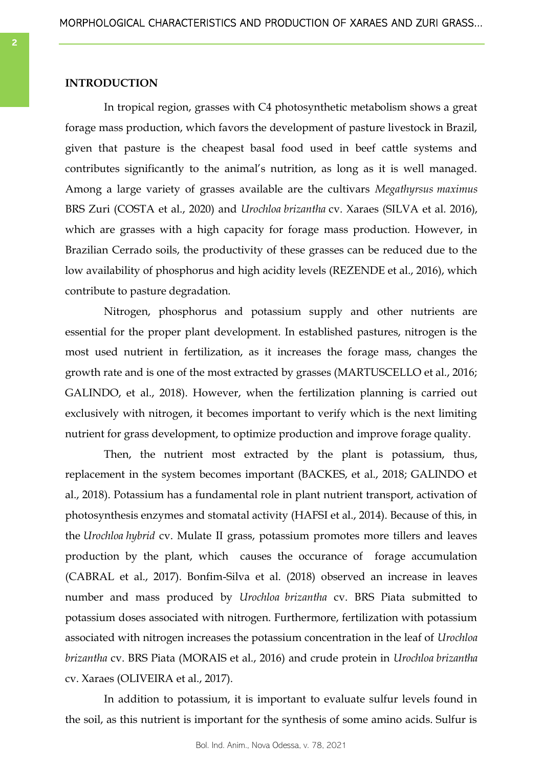### **INTRODUCTION**

In tropical region, grasses with C4 photosynthetic metabolism shows a great forage mass production, which favors the development of pasture livestock in Brazil, given that pasture is the cheapest basal food used in beef cattle systems and contributes significantly to the animal's nutrition, as long as it is well managed. Among a large variety of grasses available are the cultivars *Megathyrsus maximus*  BRS Zuri (COSTA et al., 2020) and *Urochloa brizantha* cv. Xaraes (SILVA et al. 2016), which are grasses with a high capacity for forage mass production. However, in Brazilian Cerrado soils, the productivity of these grasses can be reduced due to the low availability of phosphorus and high acidity levels (REZENDE et al., 2016), which contribute to pasture degradation.

Nitrogen, phosphorus and potassium supply and other nutrients are essential for the proper plant development. In established pastures, nitrogen is the most used nutrient in fertilization, as it increases the forage mass, changes the growth rate and is one of the most extracted by grasses (MARTUSCELLO et al., 2016; GALINDO, et al., 2018). However, when the fertilization planning is carried out exclusively with nitrogen, it becomes important to verify which is the next limiting nutrient for grass development, to optimize production and improve forage quality.

Then, the nutrient most extracted by the plant is potassium, thus, replacement in the system becomes important (BACKES, et al., 2018; GALINDO et al., 2018). Potassium has a fundamental role in plant nutrient transport, activation of photosynthesis enzymes and stomatal activity (HAFSI et al., 2014). Because of this, in the *Urochloa hybrid* cv. Mulate II grass, potassium promotes more tillers and leaves production by the plant, which causes the occurance of forage accumulation (CABRAL et al., 2017). Bonfim-Silva et al. (2018) observed an increase in leaves number and mass produced by *Urochloa brizantha* cv. BRS Piata submitted to potassium doses associated with nitrogen. Furthermore, fertilization with potassium associated with nitrogen increases the potassium concentration in the leaf of *Urochloa brizantha* cv. BRS Piata (MORAIS et al., 2016) and crude protein in *Urochloa brizantha*  cv. Xaraes (OLIVEIRA et al., 2017).

In addition to potassium, it is important to evaluate sulfur levels found in the soil, as this nutrient is important for the synthesis of some amino acids. Sulfur is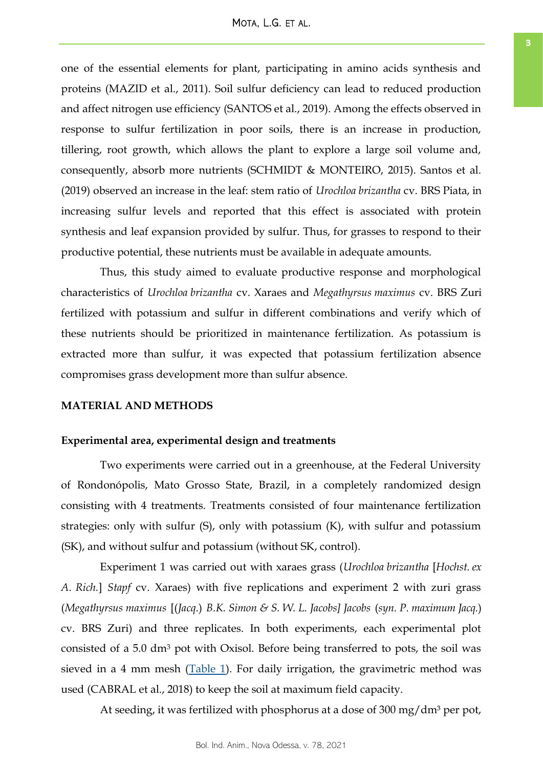one of the essential elements for plant, participating in amino acids synthesis and proteins (MAZID et al., 2011). Soil sulfur deficiency can lead to reduced production and affect nitrogen use efficiency (SANTOS et al., 2019). Among the effects observed in response to sulfur fertilization in poor soils, there is an increase in production, tillering, root growth, which allows the plant to explore a large soil volume and, consequently, absorb more nutrients (SCHMIDT & MONTEIRO, 2015). Santos et al. (2019) observed an increase in the leaf: stem ratio of *Urochloa brizantha* cv. BRS Piata, in increasing sulfur levels and reported that this effect is associated with protein synthesis and leaf expansion provided by sulfur. Thus, for grasses to respond to their productive potential, these nutrients must be available in adequate amounts.

Thus, this study aimed to evaluate productive response and morphological characteristics of *Urochloa brizantha* cv. Xaraes and *Megathyrsus maximus* cv. BRS Zuri fertilized with potassium and sulfur in different combinations and verify which of these nutrients should be prioritized in maintenance fertilization. As potassium is extracted more than sulfur, it was expected that potassium fertilization absence compromises grass development more than sulfur absence.

# **MATERIAL AND METHODS**

### **Experimental area, experimental design and treatments**

Two experiments were carried out in a greenhouse, at the Federal University of Rondonópolis, Mato Grosso State, Brazil, in a completely randomized design consisting with 4 treatments. Treatments consisted of four maintenance fertilization strategies: only with sulfur (S), only with potassium (K), with sulfur and potassium (SK), and without sulfur and potassium (without SK, control).

Experiment 1 was carried out with xaraes grass (*Urochloa brizantha* [*Hochst. ex A. Rich.*] *Stapf* cv. Xaraes) with five replications and experiment 2 with zuri grass (*Megathyrsus maximus* [(*Jacq.*) *B.K. Simon & S. W. L. Jacobs] Jacobs* (*syn. P. maximum Jacq.*) cv. BRS Zuri) and three replicates. In both experiments, each experimental plot consisted of a 5.0 dm<sup>3</sup> pot with Oxisol. Before being transferred to pots, the soil was sieved in a 4 mm mesh  $(Table 1)$ . For daily irrigation, the gravimetric method was used (CABRAL et al., 2018) to keep the soil at maximum field capacity.

At seeding, it was fertilized with phosphorus at a dose of  $300 \text{ mg/dm}^3$  per pot,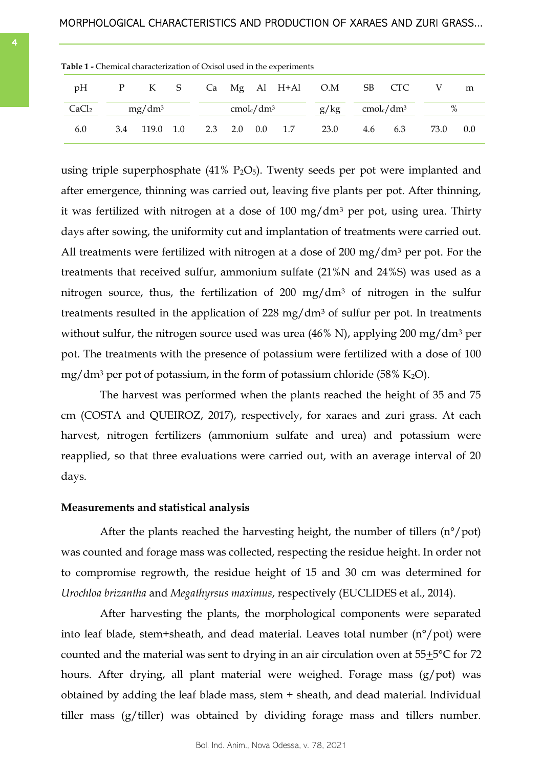| <b>Table 1 -</b> Chemical characterization of Oxisol used in the experiments |           |           |  |     |                             |  |  |                   |                             |        |      |     |
|------------------------------------------------------------------------------|-----------|-----------|--|-----|-----------------------------|--|--|-------------------|-----------------------------|--------|------|-----|
| pH                                                                           |           | P K S     |  |     |                             |  |  | Ca Mg Al H+Al O.M |                             | SB CTC |      | m   |
| CaCl <sub>2</sub>                                                            | $mg/dm^3$ |           |  |     | $\text{cmol}_c/\text{dm}^3$ |  |  | g/kg              | $\text{cmol}_c/\text{dm}^3$ |        | %    |     |
| 6.0                                                                          | 3.4       | 119.0 1.0 |  | 2.3 | 2.0 0.0 1.7                 |  |  | 23.0              | 4.6                         | 6.3    | 73.0 | 0.0 |

<span id="page-3-0"></span>

using triple superphosphate  $(41\% \text{ P}_2\text{O}_5)$ . Twenty seeds per pot were implanted and after emergence, thinning was carried out, leaving five plants per pot. After thinning, it was fertilized with nitrogen at a dose of 100 mg/dm<sup>3</sup> per pot, using urea. Thirty days after sowing, the uniformity cut and implantation of treatments were carried out. All treatments were fertilized with nitrogen at a dose of 200 mg/ $dm<sup>3</sup>$  per pot. For the treatments that received sulfur, ammonium sulfate (21%N and 24%S) was used as a nitrogen source, thus, the fertilization of  $200 \, \text{mg/dm}$ <sup>3</sup> of nitrogen in the sulfur treatments resulted in the application of 228 mg/dm<sup>3</sup> of sulfur per pot. In treatments without sulfur, the nitrogen source used was urea  $(46\% \text{ N})$ , applying 200 mg/dm<sup>3</sup> per pot. The treatments with the presence of potassium were fertilized with a dose of 100 mg/dm<sup>3</sup> per pot of potassium, in the form of potassium chloride (58% K<sub>2</sub>O).

The harvest was performed when the plants reached the height of 35 and 75 cm (COSTA and QUEIROZ, 2017), respectively, for xaraes and zuri grass. At each harvest, nitrogen fertilizers (ammonium sulfate and urea) and potassium were reapplied, so that three evaluations were carried out, with an average interval of 20 days.

### **Measurements and statistical analysis**

After the plants reached the harvesting height, the number of tillers  $(n^{\circ}/pot)$ was counted and forage mass was collected, respecting the residue height. In order not to compromise regrowth, the residue height of 15 and 30 cm was determined for *Urochloa brizantha* and *Megathyrsus maximus*, respectively (EUCLIDES et al., 2014).

After harvesting the plants, the morphological components were separated into leaf blade, stem+sheath, and dead material. Leaves total number (n°/pot) were counted and the material was sent to drying in an air circulation oven at  $55\pm5\degree C$  for 72 hours. After drying, all plant material were weighed. Forage mass (g/pot) was obtained by adding the leaf blade mass, stem + sheath, and dead material. Individual tiller mass (g/tiller) was obtained by dividing forage mass and tillers number.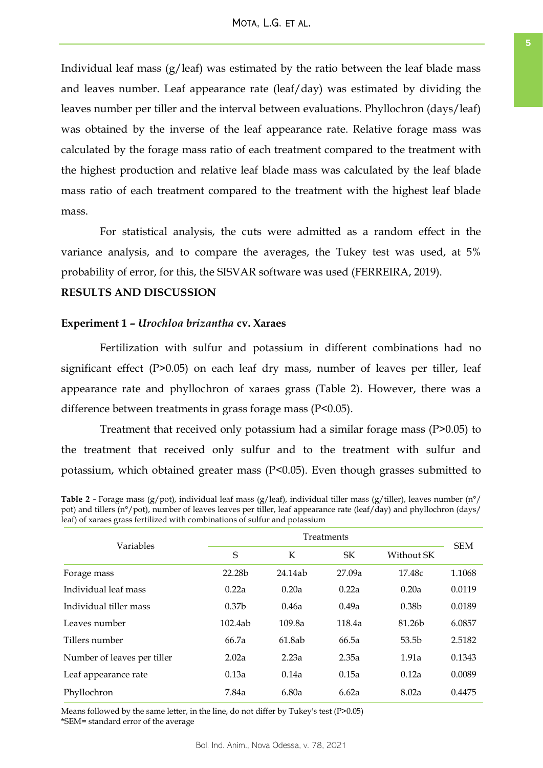<span id="page-4-0"></span>Individual leaf mass  $(g/leaf)$  was estimated by the ratio between the leaf blade mass and leaves number. Leaf appearance rate (leaf/day) was estimated by dividing the leaves number per tiller and the interval between evaluations. Phyllochron (days/leaf) was obtained by the inverse of the leaf appearance rate. Relative forage mass was calculated by the forage mass ratio of each treatment compared to the treatment with the highest production and relative leaf blade mass was calculated by the leaf blade mass ratio of each treatment compared to the treatment with the highest leaf blade mass.

For statistical analysis, the cuts were admitted as a random effect in the variance analysis, and to compare the averages, the Tukey test was used, at 5% probability of error, for this, the SISVAR software was used (FERREIRA, 2019).

## **RESULTS AND DISCUSSION**

### **Experiment 1 –** *Urochloa brizantha* **cv. Xaraes**

Fertilization with sulfur and potassium in different combinations had no significant effect (P>0.05) on each leaf dry mass, number of leaves per tiller, leaf appearance rate and phyllochron of xaraes grass (Table 2). However, there was a difference between treatments in grass forage mass (P<0.05).

Treatment that received only potassium had a similar forage mass (P>0.05) to the treatment that received only sulfur and to the treatment with sulfur and potassium, which obtained greater mass (P<0.05). Even though grasses submitted to

|                             | Treatments        |         |           |                    |            |  |
|-----------------------------|-------------------|---------|-----------|--------------------|------------|--|
| Variables                   | S                 | K       | <b>SK</b> | Without SK         | <b>SEM</b> |  |
| Forage mass                 | 22.28b            | 24.14ab | 27.09a    | 17.48c             | 1.1068     |  |
| Individual leaf mass        | 0.22a             | 0.20a   | 0.22a     | 0.20a              | 0.0119     |  |
| Individual tiller mass      | 0.37 <sub>b</sub> | 0.46a   | 0.49a     | 0.38 <sub>b</sub>  | 0.0189     |  |
| Leaves number               | 102.4ab           | 109.8a  | 118.4a    | 81.26 <sub>b</sub> | 6.0857     |  |
| Tillers number              | 66.7a             | 61.8ab  | 66.5a     | 53.5 <sub>b</sub>  | 2.5182     |  |
| Number of leaves per tiller | 2.02a             | 2.23a   | 2.35a     | 1.91a              | 0.1343     |  |
| Leaf appearance rate        | 0.13a             | 0.14a   | 0.15a     | 0.12a              | 0.0089     |  |
| Phyllochron                 | 7.84a             | 6.80a   | 6.62a     | 8.02a              | 0.4475     |  |

**Table 2 -** Forage mass (g/pot), individual leaf mass (g/leaf), individual tiller mass (g/tiller), leaves number (n°/ pot) and tillers (n°/pot), number of leaves leaves per tiller, leaf appearance rate (leaf/day) and phyllochron (days/ leaf) of xaraes grass fertilized with combinations of sulfur and potassium

Means followed by the same letter, in the line, do not differ by Tukey's test (P>0.05) \*SEM= standard error of the average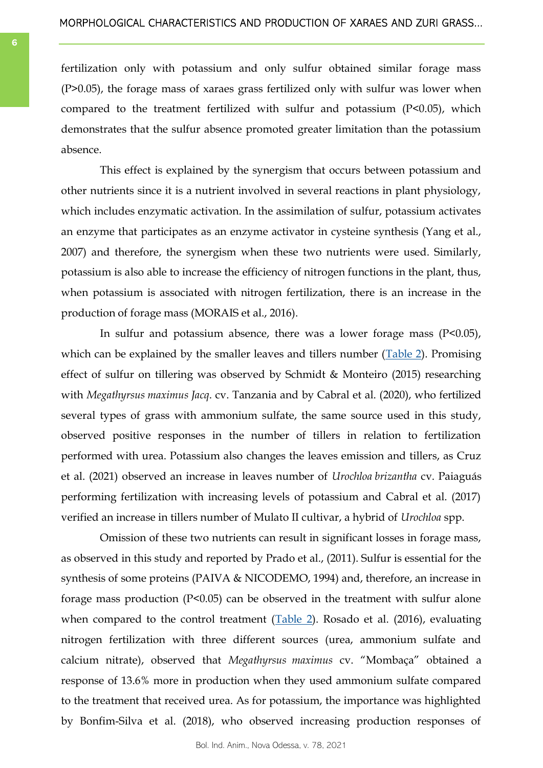fertilization only with potassium and only sulfur obtained similar forage mass (P>0.05), the forage mass of xaraes grass fertilized only with sulfur was lower when compared to the treatment fertilized with sulfur and potassium (P<0.05), which demonstrates that the sulfur absence promoted greater limitation than the potassium absence.

This effect is explained by the synergism that occurs between potassium and other nutrients since it is a nutrient involved in several reactions in plant physiology, which includes enzymatic activation. In the assimilation of sulfur, potassium activates an enzyme that participates as an enzyme activator in cysteine synthesis (Yang et al., 2007) and therefore, the synergism when these two nutrients were used. Similarly, potassium is also able to increase the efficiency of nitrogen functions in the plant, thus, when potassium is associated with nitrogen fertilization, there is an increase in the production of forage mass (MORAIS et al., 2016).

In sulfur and potassium absence, there was a lower forage mass  $(P<0.05)$ , which can be explained by the smaller leaves and tillers number ([Table 2\).](#page-4-0) Promising effect of sulfur on tillering was observed by Schmidt & Monteiro (2015) researching with *Megathyrsus maximus Jacq*. cv. Tanzania and by Cabral et al. (2020), who fertilized several types of grass with ammonium sulfate, the same source used in this study, observed positive responses in the number of tillers in relation to fertilization performed with urea. Potassium also changes the leaves emission and tillers, as Cruz et al. (2021) observed an increase in leaves number of *Urochloa brizantha* cv. Paiaguás performing fertilization with increasing levels of potassium and Cabral et al. (2017) verified an increase in tillers number of Mulato II cultivar, a hybrid of *Urochloa* spp.

Omission of these two nutrients can result in significant losses in forage mass, as observed in this study and reported by Prado et al., (2011). Sulfur is essential for the synthesis of some proteins (PAIVA & NICODEMO, 1994) and, therefore, an increase in forage mass production (P<0.05) can be observed in the treatment with sulfur alone when compared to the control treatment  $(Table 2)$  $(Table 2)$ . Rosado et al. (2016), evaluating nitrogen fertilization with three different sources (urea, ammonium sulfate and calcium nitrate), observed that *Megathyrsus maximus* cv. "Mombaça" obtained a response of 13.6% more in production when they used ammonium sulfate compared to the treatment that received urea. As for potassium, the importance was highlighted by Bonfim-Silva et al. (2018), who observed increasing production responses of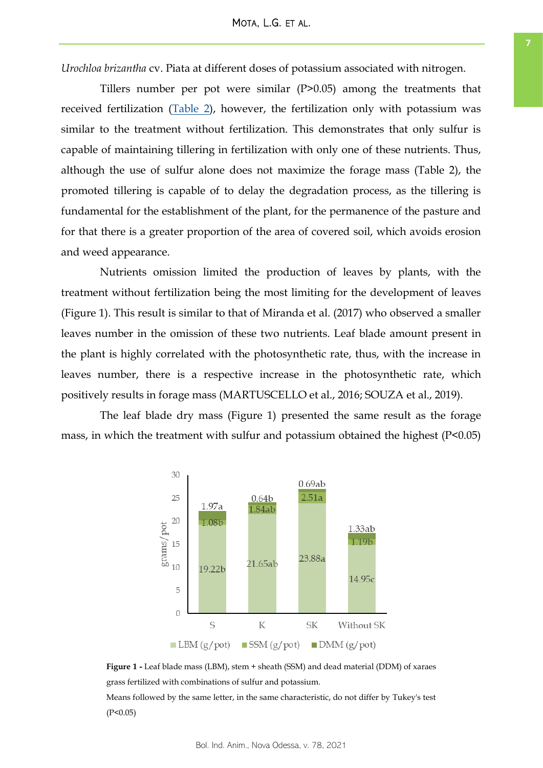<span id="page-6-0"></span>*Urochloa brizantha* cv. Piata at different doses of potassium associated with nitrogen.

Tillers number per pot were similar (P>0.05) among the treatments that received fertilization ([Table 2\),](#page-4-0) however, the fertilization only with potassium was similar to the treatment without fertilization. This demonstrates that only sulfur is capable of maintaining tillering in fertilization with only one of these nutrients. Thus, although the use of sulfur alone does not maximize the forage mass (Table 2), the promoted tillering is capable of to delay the degradation process, as the tillering is fundamental for the establishment of the plant, for the permanence of the pasture and for that there is a greater proportion of the area of covered soil, which avoids erosion and weed appearance.

Nutrients omission limited the production of leaves by plants, with the treatment without fertilization being the most limiting for the development of leaves (Figure 1). This result is similar to that of Miranda et al. (2017) who observed a smaller leaves number in the omission of these two nutrients. Leaf blade amount present in the plant is highly correlated with the photosynthetic rate, thus, with the increase in leaves number, there is a respective increase in the photosynthetic rate, which positively results in forage mass (MARTUSCELLO et al., 2016; SOUZA et al., 2019).

The leaf blade dry mass (Figure 1) presented the same result as the forage mass, in which the treatment with sulfur and potassium obtained the highest (P<0.05)



**Figure 1 -** Leaf blade mass (LBM), stem + sheath (SSM) and dead material (DDM) of xaraes grass fertilized with combinations of sulfur and potassium.

Means followed by the same letter, in the same characteristic, do not differ by Tukey's test  $(P<0.05)$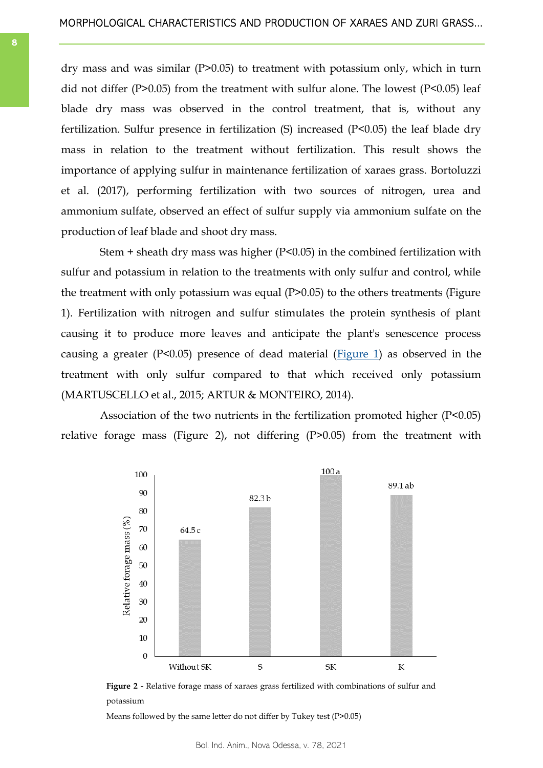<span id="page-7-0"></span>dry mass and was similar (P>0.05) to treatment with potassium only, which in turn did not differ (P>0.05) from the treatment with sulfur alone. The lowest (P<0.05) leaf blade dry mass was observed in the control treatment, that is, without any fertilization. Sulfur presence in fertilization (S) increased (P<0.05) the leaf blade dry mass in relation to the treatment without fertilization. This result shows the importance of applying sulfur in maintenance fertilization of xaraes grass. Bortoluzzi et al. (2017), performing fertilization with two sources of nitrogen, urea and ammonium sulfate, observed an effect of sulfur supply via ammonium sulfate on the production of leaf blade and shoot dry mass.

Stem + sheath dry mass was higher (P<0.05) in the combined fertilization with sulfur and potassium in relation to the treatments with only sulfur and control, while the treatment with only potassium was equal (P>0.05) to the others treatments (Figure 1). Fertilization with nitrogen and sulfur stimulates the protein synthesis of plant causing it to produce more leaves and anticipate the plant's senescence process causing a greater (P<0.05) presence of dead material ([Figure 1\)](#page-6-0) as observed in the treatment with only sulfur compared to that which received only potassium (MARTUSCELLO et al., 2015; ARTUR & MONTEIRO, 2014).

Association of the two nutrients in the fertilization promoted higher (P<0.05) relative forage mass (Figure 2), not differing (P>0.05) from the treatment with



**Figure 2 -** Relative forage mass of xaraes grass fertilized with combinations of sulfur and potassium

Means followed by the same letter do not differ by Tukey test (P>0.05)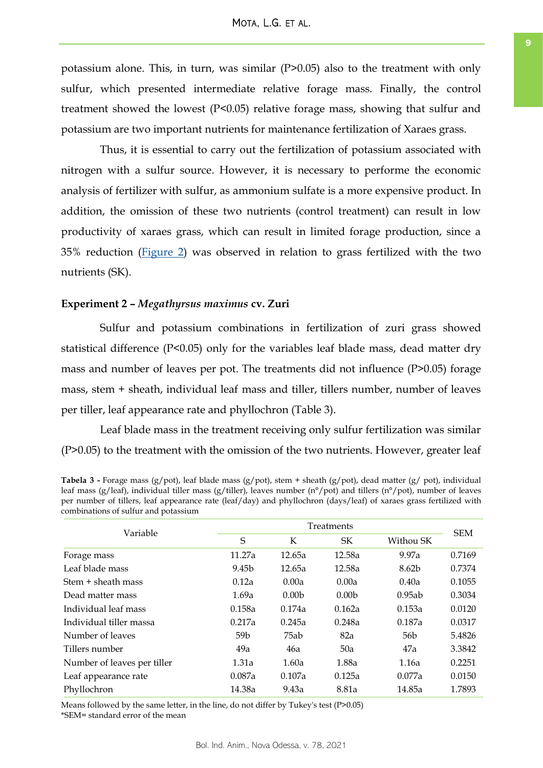<span id="page-8-0"></span>potassium alone. This, in turn, was similar (P>0.05) also to the treatment with only sulfur, which presented intermediate relative forage mass. Finally, the control treatment showed the lowest (P<0.05) relative forage mass, showing that sulfur and potassium are two important nutrients for maintenance fertilization of Xaraes grass.

Thus, it is essential to carry out the fertilization of potassium associated with nitrogen with a sulfur source. However, it is necessary to performe the economic analysis of fertilizer with sulfur, as ammonium sulfate is a more expensive product. In addition, the omission of these two nutrients (control treatment) can result in low productivity of xaraes grass, which can result in limited forage production, since a 35% reduction [\(Figure 2\)](#page-7-0) was observed in relation to grass fertilized with the two nutrients (SK).

### **Experiment 2 –** *Megathyrsus maximus* **cv. Zuri**

Sulfur and potassium combinations in fertilization of zuri grass showed statistical difference (P<0.05) only for the variables leaf blade mass, dead matter dry mass and number of leaves per pot. The treatments did not influence (P>0.05) forage mass, stem + sheath, individual leaf mass and tiller, tillers number, number of leaves per tiller, leaf appearance rate and phyllochron (Table 3).

Leaf blade mass in the treatment receiving only sulfur fertilization was similar (P>0.05) to the treatment with the omission of the two nutrients. However, greater leaf

| <b>Tabela 3 -</b> Forage mass (g/pot), leaf blade mass (g/pot), stem + sheath (g/pot), dead matter (g/ pot), individual |
|-------------------------------------------------------------------------------------------------------------------------|
| leaf mass (g/leaf), individual tiller mass (g/tiller), leaves number (n°/pot) and tillers (n°/pot), number of leaves    |
| per number of tillers, leaf appearance rate (leaf/day) and phyllochron (days/leaf) of xaraes grass fertilized with      |
| combinations of sulfur and potassium                                                                                    |

| Variable                    |        | <b>Treatments</b> |                   |                 |            |  |  |
|-----------------------------|--------|-------------------|-------------------|-----------------|------------|--|--|
|                             | S      | К                 | <b>SK</b>         | Withou SK       | <b>SEM</b> |  |  |
| Forage mass                 | 11.27a | 12.65a            | 12.58a            | 9.97a           | 0.7169     |  |  |
| Leaf blade mass             | 9.45b  | 12.65a            | 12.58a            | 8.62b           | 0.7374     |  |  |
| Stem + sheath mass          | 0.12a  | 0.00a             | 0.00a             | 0.40a           | 0.1055     |  |  |
| Dead matter mass            | 1.69a  | 0.00 <sub>b</sub> | 0.00 <sub>b</sub> | 0.95ab          | 0.3034     |  |  |
| Individual leaf mass        | 0.158a | 0.174a            | 0.162a            | 0.153a          | 0.0120     |  |  |
| Individual tiller massa     | 0.217a | 0.245a            | 0.248a            | 0.187a          | 0.0317     |  |  |
| Number of leaves            | 59b    | 75ab              | 82a               | 56 <sub>b</sub> | 5.4826     |  |  |
| Tillers number              | 49a    | 46a               | 50a               | 47a             | 3.3842     |  |  |
| Number of leaves per tiller | 1.31a  | 1.60a             | 1.88a             | 1.16a           | 0.2251     |  |  |
| Leaf appearance rate        | 0.087a | 0.107a            | 0.125a            | 0.077a          | 0.0150     |  |  |
| Phyllochron                 | 14.38a | 9.43a             | 8.81a             | 14.85a          | 1.7893     |  |  |

Means followed by the same letter, in the line, do not differ by Tukey's test (P>0.05) \*SEM= standard error of the mean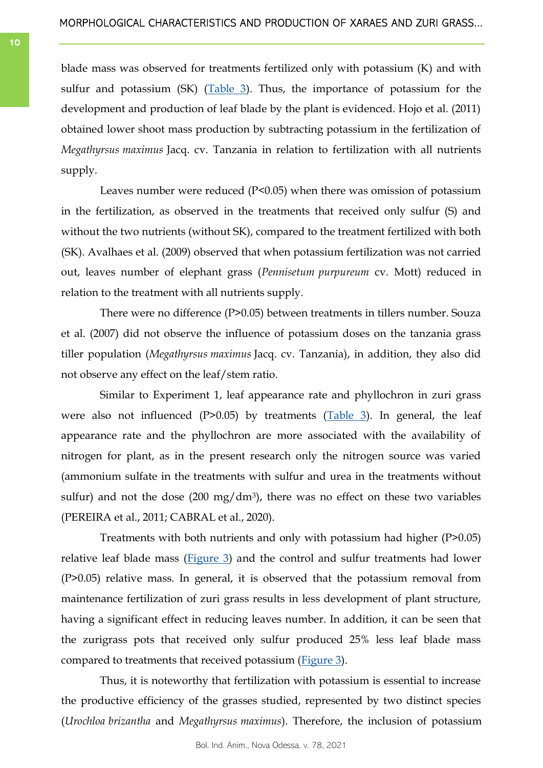blade mass was observed for treatments fertilized only with potassium (K) and with sulfur and potassium (SK) ([Table 3\).](#page-8-0) Thus, the importance of potassium for the development and production of leaf blade by the plant is evidenced. Hojo et al. (2011) obtained lower shoot mass production by subtracting potassium in the fertilization of *Megathyrsus maximus* Jacq. cv. Tanzania in relation to fertilization with all nutrients supply.

Leaves number were reduced (P<0.05) when there was omission of potassium in the fertilization, as observed in the treatments that received only sulfur (S) and without the two nutrients (without SK), compared to the treatment fertilized with both (SK). Avalhaes et al. (2009) observed that when potassium fertilization was not carried out, leaves number of elephant grass (*Pennisetum purpureum* cv. Mott) reduced in relation to the treatment with all nutrients supply.

There were no difference (P>0.05) between treatments in tillers number. Souza et al. (2007) did not observe the influence of potassium doses on the tanzania grass tiller population (*Megathyrsus maximus* Jacq. cv. Tanzania), in addition, they also did not observe any effect on the leaf/stem ratio.

Similar to Experiment 1, leaf appearance rate and phyllochron in zuri grass were also not influenced (P>0.05) by treatments (Table  $3$ ). In general, the leaf appearance rate and the phyllochron are more associated with the availability of nitrogen for plant, as in the present research only the nitrogen source was varied (ammonium sulfate in the treatments with sulfur and urea in the treatments without sulfur) and not the dose  $(200 \text{ mg/dm}^3)$ , there was no effect on these two variables (PEREIRA et al., 2011; CABRAL et al., 2020).

Treatments with both nutrients and only with potassium had higher (P>0.05) relative leaf blade mass ( $Figure 3$ ) and the control and sulfur treatments had lower (P>0.05) relative mass. In general, it is observed that the potassium removal from maintenance fertilization of zuri grass results in less development of plant structure, having a significant effect in reducing leaves number. In addition, it can be seen that the zurigrass pots that received only sulfur produced 25% less leaf blade mass compared to treatments that received potassium ([Figure 3\)](#page-10-0).

Thus, it is noteworthy that fertilization with potassium is essential to increase the productive efficiency of the grasses studied, represented by two distinct species (*Urochloa brizantha* and *Megathyrsus maximus*). Therefore, the inclusion of potassium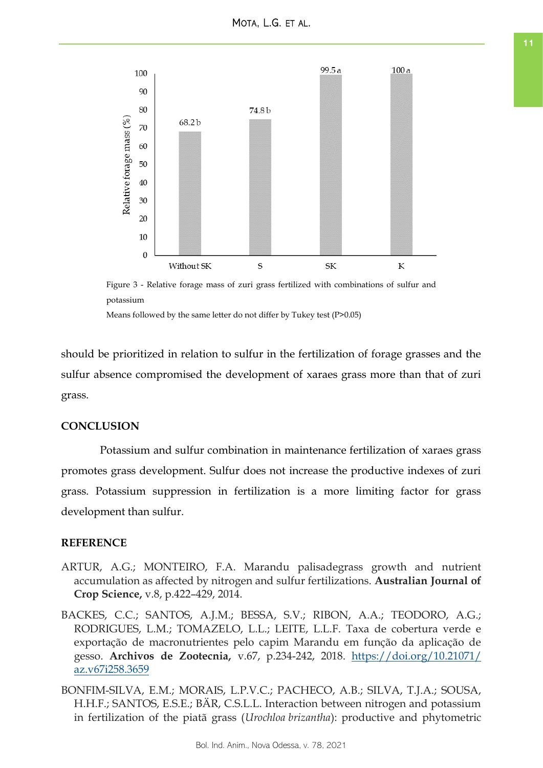<span id="page-10-0"></span>

Figure 3 - Relative forage mass of zuri grass fertilized with combinations of sulfur and potassium

Means followed by the same letter do not differ by Tukey test (P>0.05)

should be prioritized in relation to sulfur in the fertilization of forage grasses and the sulfur absence compromised the development of xaraes grass more than that of zuri grass.

# **CONCLUSION**

Potassium and sulfur combination in maintenance fertilization of xaraes grass promotes grass development. Sulfur does not increase the productive indexes of zuri grass. Potassium suppression in fertilization is a more limiting factor for grass development than sulfur.

### **REFERENCE**

- ARTUR, A.G.; MONTEIRO, F.A. Marandu palisadegrass growth and nutrient accumulation as affected by nitrogen and sulfur fertilizations. **Australian Journal of Crop Science,** v.8, p.422–429, 2014.
- BACKES, C.C.; SANTOS, A.J.M.; BESSA, S.V.; RIBON, A.A.; TEODORO, A.G.; RODRIGUES, L.M.; TOMAZELO, L.L.; LEITE, L.L.F. Taxa de cobertura verde e exportação de macronutrientes pelo capim Marandu em função da aplicação de gesso. **Archivos de Zootecnia,** v.67, p.234-242, 2018. [https://doi.org/10.21071/](https://doi.org/10.21071/az.v67i258.3659) [az.v67i258.3659](https://doi.org/10.21071/az.v67i258.3659)
- BONFIM-SILVA, E.M.; MORAIS, L.P.V.C.; PACHECO, A.B.; SILVA, T.J.A.; SOUSA, H.H.F.; SANTOS, E.S.E.; BÄR, C.S.L.L. Interaction between nitrogen and potassium in fertilization of the piatã grass (*Urochloa brizantha*): productive and phytometric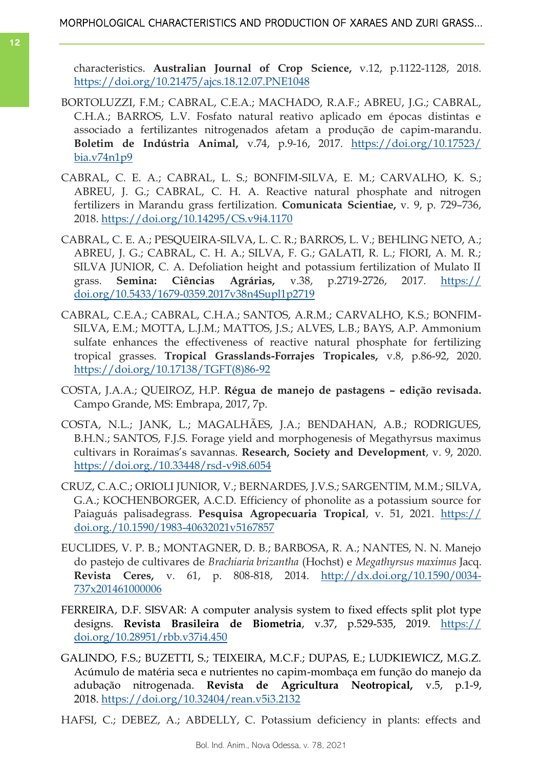characteristics. **Australian Journal of Crop Science,** v.12, p.1122-1128, 2018. <https://doi.org/10.21475/ajcs.18.12.07.PNE1048>

- BORTOLUZZI, F.M.; CABRAL, C.E.A.; MACHADO, R.A.F.; ABREU, J.G.; CABRAL, C.H.A.; BARROS, L.V. Fosfato natural reativo aplicado em épocas distintas e associado a fertilizantes nitrogenados afetam a produção de capim-marandu. **Boletim de Indústria Animal,** v.74, p.9-16, 2017. [https://doi.org/10.17523/](https://doi.org/10.17523/bia.v74n1p9) [bia.v74n1p9](https://doi.org/10.17523/bia.v74n1p9)
- CABRAL, C. E. A.; CABRAL, L. S.; BONFIM-SILVA, E. M.; CARVALHO, K. S.; ABREU, J. G.; CABRAL, C. H. A. Reactive natural phosphate and nitrogen fertilizers in Marandu grass fertilization. **Comunicata Scientiae,** v. 9, p. 729–736, 2018.<https://doi.org/10.14295/CS.v9i4.1170>
- CABRAL, C. E. A.; PESQUEIRA-SILVA, L. C. R.; BARROS, L. V.; BEHLING NETO, A.; ABREU, J. G.; CABRAL, C. H. A.; SILVA, F. G.; GALATI, R. L.; FIORI, A. M. R.; SILVA JUNIOR, C. A. Defoliation height and potassium fertilization of Mulato II grass. **Semina: Ciências Agrárias,** v.38, p.2719-2726, 2017. [https://](https://doi.org/10.5433/1679-0359.2017v38n4Supl1p2719) [doi.org/10.5433/1679-0359.2017v38n4Supl1p2719](https://doi.org/10.5433/1679-0359.2017v38n4Supl1p2719)
- CABRAL, C.E.A.; CABRAL, C.H.A.; SANTOS, A.R.M.; CARVALHO, K.S.; BONFIM-SILVA, E.M.; MOTTA, L.J.M.; MATTOS, J.S.; ALVES, L.B.; BAYS, A.P. Ammonium sulfate enhances the effectiveness of reactive natural phosphate for fertilizing tropical grasses. **Tropical Grasslands-Forrajes Tropicales,** v.8, p.86-92, 2020. [https://doi.org/10.17138/TGFT\(8\)86-92](https://doi.org/10.17138/TGFT(8)86-92)
- COSTA, J.A.A.; QUEIROZ, H.P. **Régua de manejo de pastagens – edição revisada.**  Campo Grande, MS: Embrapa, 2017, 7p.
- COSTA, N.L.; JANK, L.; MAGALHÃES, J.A.; BENDAHAN, A.B.; RODRIGUES, B.H.N.; SANTOS, F.J.S. Forage yield and morphogenesis of Megathyrsus maximus cultivars in Roraimas's savannas. **Research, Society and Development**, v. 9, 2020. <https://doi.org./10.33448/rsd-v9i8.6054>
- CRUZ, C.A.C.; ORIOLI JUNIOR, V.; BERNARDES, J.V.S.; SARGENTIM, M.M.; SILVA, G.A.; KOCHENBORGER, A.C.D. Efficiency of phonolite as a potassium source for Paiaguás palisadegrass. Pesquisa Agropecuaria Tropical, v. 51, 2021. [https://](https://doi.org./10.1590/1983-40632021v5167857) [doi.org./10.1590/1983-40632021v5167857](https://doi.org./10.1590/1983-40632021v5167857)
- EUCLIDES, V. P. B.; MONTAGNER, D. B.; BARBOSA, R. A.; NANTES, N. N. Manejo do pastejo de cultivares de *Brachiaria brizantha* (Hochst) e *Megathyrsus maximus* Jacq. **Revista Ceres,** v. 61, p. 808-818, 2014. [http://dx.doi.org/10.1590/0034-](http://dx.doi.org/10.1590/0034-737x201461000006) [737x201461000006](http://dx.doi.org/10.1590/0034-737x201461000006)
- FERREIRA, D.F. SISVAR: A computer analysis system to fixed effects split plot type designs. **Revista Brasileira de Biometria**, v.37, p.529-535, 2019. [https://](https://doi.org/10.28951/rbb.v37i4.450) [doi.org/10.28951/rbb.v37i4.450](https://doi.org/10.28951/rbb.v37i4.450)
- GALINDO, F.S.; BUZETTI, S.; TEIXEIRA, M.C.F.; DUPAS, E.; LUDKIEWICZ, M.G.Z. Acúmulo de matéria seca e nutrientes no capim-mombaça em função do manejo da adubação nitrogenada. **Revista de Agricultura Neotropical,** v.5, p.1-9, 2018. <https://doi.org/10.32404/rean.v5i3.2132>
- HAFSI, C.; DEBEZ, A.; ABDELLY, C. Potassium deficiency in plants: effects and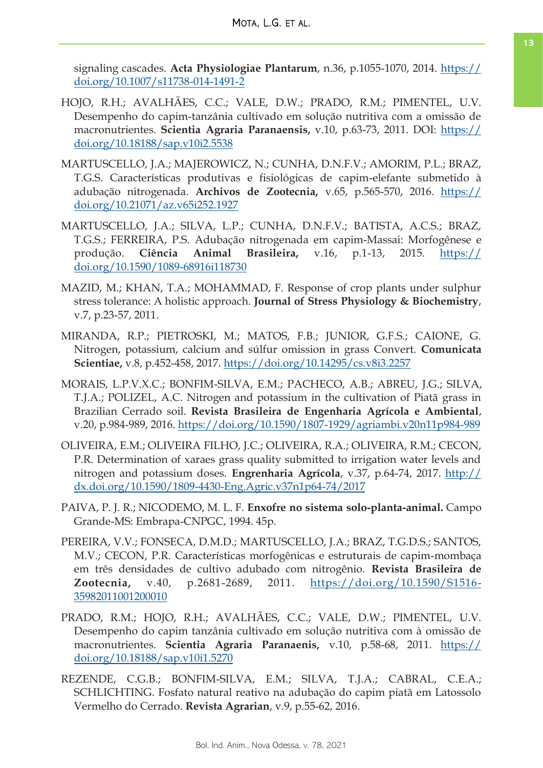signaling cascades. **Acta Physiologiae Plantarum**, n.36, p.1055-1070, 2014. [https://](https://doi.org/10.1007/s11738-014-1491-2) [doi.org/10.1007/s11738-014-1491-2](https://doi.org/10.1007/s11738-014-1491-2)

- HOJO, R.H.; AVALHÃES, C.C.; VALE, D.W.; PRADO, R.M.; PIMENTEL, U.V. Desempenho do capim-tanzânia cultivado em solução nutritiva com a omissão de macronutrientes. **Scientia Agraria Paranaensis,** v.10, p.63-73, 2011. DOI: [https://](https://doi.org/10.18188/sap.v10i2.5538) [doi.org/10.18188/sap.v10i2.5538](https://doi.org/10.18188/sap.v10i2.5538)
- MARTUSCELLO, J.A.; MAJEROWICZ, N.; CUNHA, D.N.F.V.; AMORIM, P.L.; BRAZ, T.G.S. Características produtivas e fisiológicas de capim-elefante submetido à adubação nitrogenada. **Archivos de Zootecnia,** v.65, p.565-570, 2016. [https://](https://doi.org/10.21071/az.v65i252.1927) [doi.org/10.21071/az.v65i252.1927](https://doi.org/10.21071/az.v65i252.1927)
- MARTUSCELLO, J.A.; SILVA, L.P.; CUNHA, D.N.F.V.; BATISTA, A.C.S.; BRAZ, T.G.S.; FERREIRA, P.S. Adubação nitrogenada em capim-Massai: Morfogênese e produção. **Ciência Animal Brasileira,** v.16, p.1-13, 2015. [https://](https://doi.org/10.1590/1089-68916i118730) [doi.org/10.1590/1089-68916i118730](https://doi.org/10.1590/1089-68916i118730)
- MAZID, M.; KHAN, T.A.; MOHAMMAD, F. Response of crop plants under sulphur stress tolerance: A holistic approach. **Journal of Stress Physiology & Biochemistry**, v.7, p.23-57, 2011.
- MIRANDA, R.P.; PIETROSKI, M.; MATOS, F.B.; JUNIOR, G.F.S.; CAIONE, G. Nitrogen, potassium, calcium and súlfur omission in grass Convert. **Comunicata Scientiae,** v.8, p.452-458, 2017. <https://doi.org/10.14295/cs.v8i3.2257>
- MORAIS, L.P.V.X.C.; BONFIM-SILVA, E.M.; PACHECO, A.B.; ABREU, J.G.; SILVA, T.J.A.; POLIZEL, A.C. Nitrogen and potassium in the cultivation of Piatã grass in Brazilian Cerrado soil. **Revista Brasileira de Engenharia Agrícola e Ambiental**, v.20, p.984-989, 2016.<https://doi.org/10.1590/1807-1929/agriambi.v20n11p984-989>
- OLIVEIRA, E.M.; OLIVEIRA FILHO, J.C.; OLIVEIRA, R.A.; OLIVEIRA, R.M.; CECON, P.R. Determination of xaraes grass quality submitted to irrigation water levels and nitrogen and potassium doses. **Engrenharia Agrícola**, v.37, p.64-74, 2017. [http://](http://dx.doi.org/10.1590/1809-4430-Eng.Agric.v37n1p64-74/2017) [dx.doi.org/10.1590/1809-4430-Eng.Agric.v37n1p64-74/2017](http://dx.doi.org/10.1590/1809-4430-Eng.Agric.v37n1p64-74/2017)
- PAIVA, P. J. R.; NICODEMO, M. L. F. **Enxofre no sistema solo-planta-animal.** Campo Grande-MS: Embrapa-CNPGC, 1994. 45p.
- PEREIRA, V.V.; FONSECA, D.M.D.; MARTUSCELLO, J.A.; BRAZ, T.G.D.S.; SANTOS, M.V.; CECON, P.R. Características morfogênicas e estruturais de capim-mombaça em três densidades de cultivo adubado com nitrogênio. **Revista Brasileira de Zootecnia,** v.40, p.2681-2689, 2011. [https://doi.org/10.1590/S1516-](https://doi.org/10.1590/S1516-35982011001200010) [35982011001200010](https://doi.org/10.1590/S1516-35982011001200010)
- PRADO, R.M.; HOJO, R.H.; AVALHÃES, C.C.; VALE, D.W.; PIMENTEL, U.V. Desempenho do capim tanzânia cultivado em solução nutritiva com à omissão de macronutrientes. **Scientia Agraria Paranaenis,** v.10, p.58-68, 2011. [https://](https://doi.org/10.18188/sap.v10i1.5270) [doi.org/10.18188/sap.v10i1.5270](https://doi.org/10.18188/sap.v10i1.5270)
- REZENDE, C.G.B.; BONFIM-SILVA, E.M.; SILVA, T.J.A.; CABRAL, C.E.A.; SCHLICHTING. Fosfato natural reativo na adubação do capim piatã em Latossolo Vermelho do Cerrado. **Revista Agrarian**, v.9, p.55-62, 2016.